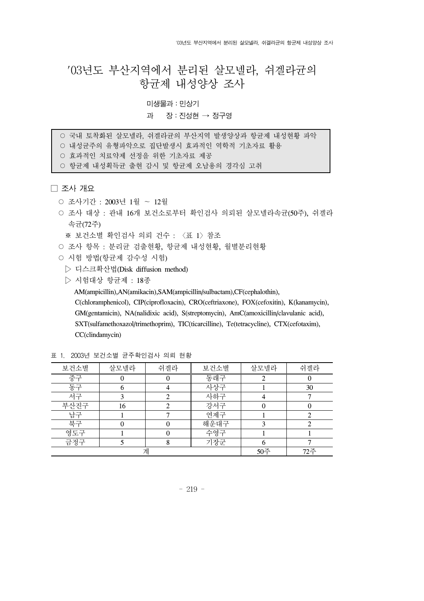# '03년도 부산지역에서 분리된 살모넬라, 쉬겔라균의 항균제 내성양상 조사

# 미생물과:민상기

# 과 장:진성현 → 정구영

○ 국내 토착화된 살모넬라, 쉬겔라균의 부산지역 발생양상과 항균제 내성현황 파악 ○ 내성규주의 유형파악으로 집단발생시 효과적인 역학적 기초자료 활용

○ 효과적인 치료약제 선정을 위한 기초자료 제공

○ 항균제 내성획득균 출현 감시 및 항균제 오남용의 경각심 고취

□ 조사 개요

- 조사기간 : 2003년 1월 ∼ 12월
- 조사 대상 : 관내 16개 보건소로부터 확인검사 의뢰된 살모넬라속균(50주), 쉬겔라 속균(72주)

※ 보건소별 확인검사 의뢰 건수 : 〈표 1〉참조

- 조사 항목 : 분리규 검출현황, 항규제 내성현황, 월별분리현황
- 시험 방법(항균제 감수성 시험)
	- ▷ 디스크확산법(Disk diffusion method)
	- ▷ 시험대상 항균제 : 18종

AM(ampicillin),AN(amikacin),SAM(ampicillin/sulbactam),CF(cephalothin),

C(chloramphenicol), CIP(ciprofloxacin), CRO(ceftriaxone), FOX(cefoxitin), K(kanamycin), GM(gentamicin), NA(nalidixic acid), S(streptomycin), AmC(amoxicillin/clavulanic acid), SXT(sulfamethoxazol/trimethoprim), TIC(ticarcilline), Te(tetracycline), CTX(cefotaxim), CC(clindamycin)

| 보건소별 | 살모넬라 | 쉬겔라 | 보건소별 | 살모넬라 | 쉬겔라 |
|------|------|-----|------|------|-----|
| 중구   |      |     | 동래구  |      |     |
| 동구   |      |     | 사상구  |      | 30  |
| 서구   |      |     | 사하구  |      |     |
| 부산진구 | 16   |     | 강서구  |      |     |
| 남구   |      |     | 연제구  |      |     |
| 북구   |      |     | 해운대구 |      |     |
| 영도구  |      |     | 수영구  |      |     |
| 금정구  |      |     | 기장군  |      |     |
| 계    |      |     |      | 50주  | 72주 |

표 1. 2003년 보건소별 균주확인검사 의뢰 현황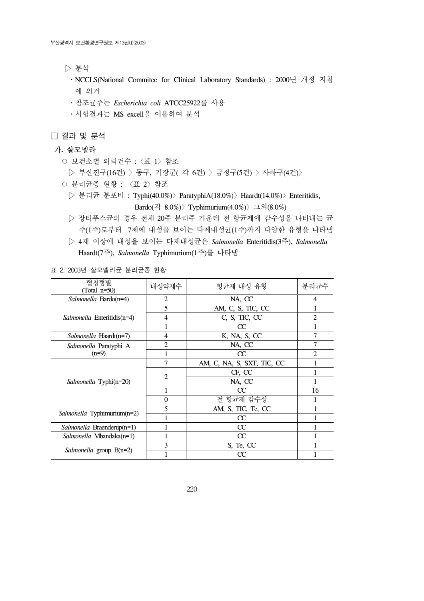▷ 분석

• NCCLS(National Commitee for Clinical Laboratory Standards) : 2000년 개정 지침 에 의거

․참조균주는 *Escherichia coli* ATCC25922를 사용

․시험결과는 MS excell을 이용하여 분석

□ 결과 및 분석

# 가**.** 살모넬라

○ 보건소별 의뢰건수 :〈표 1〉참조

▷ 부산진구(16건) 〉동구, 기장군( 각 6건) 〉금정구(5건) 〉사하구(4건)〉

○ 분리균종 현황 : 〈표 2〉참조

 ▷ 분리균 분포비 : Typhi(40.0%)〉ParatyphiA(18.0%)〉Haardt(14.0%)〉Enteritidis, Bardo(각 8.0%) > Typhimurium(4.0%) > 그외(8.0%)

 ▷ 장티푸스균의 경우 전체 20주 분리주 가운데 전 항균제에 감수성을 나타내는 균 주(1주)로부터 7제에 내성을 보이는 다제내성균(1주)까지 다양한 유형을 나타냄

 ▷ 4제 이상에 내성을 보이는 다제내성균은 *Salmonella* Enteritidis(3주), *Salmonella* Haardt(7주), *Salmonella* Typhimurium(1주)를 나타냄

표 2. 2003년 살모넬라균 분리균종 현황

| 혈청형별<br>(Total n=50)               | 내성약제수          | 항균제 내성 유형                  | 분리균수 |
|------------------------------------|----------------|----------------------------|------|
| Salmonella Bardo(n=4)              | 2              | NA, CC                     | 4    |
|                                    | 5              | AM, C, S, TIC, CC          |      |
| <i>Salmonella</i> Enteritidis(n=4) | $\overline{4}$ | C, S, TIC, CC              | 2    |
|                                    |                | CC                         |      |
| <i>Salmonella</i> Haardt(n=7)      | 4              | K, NA, S, CC               | 7    |
| Salmonella Paratyphi A             | $\overline{2}$ | NA, CC                     | 7    |
| $(n=9)$                            | 1              | CC                         | 2    |
|                                    | $\overline{7}$ | AM, C, NA, S, SXT, TIC, CC |      |
|                                    | $\overline{2}$ | CF, CC                     |      |
| Salmonella Typhi(n=20)             |                | NA, CC                     |      |
|                                    | 1              | CC                         | 16   |
|                                    | $\theta$       | 전 항균제 감수성                  |      |
|                                    | 5              | AM, S, TIC, Te, CC         |      |
| Salmonella Typhimurium(n=2)        |                | CC                         |      |
| Salmonella Braenderup(n=1)         |                | CC                         |      |
| <i>Salmonella Mbandaka(n=1)</i>    | 1              | CC                         |      |
|                                    | 3              | S, Te, CC                  |      |
| <i>Salmonella</i> group $B(n=2)$   |                | СC                         |      |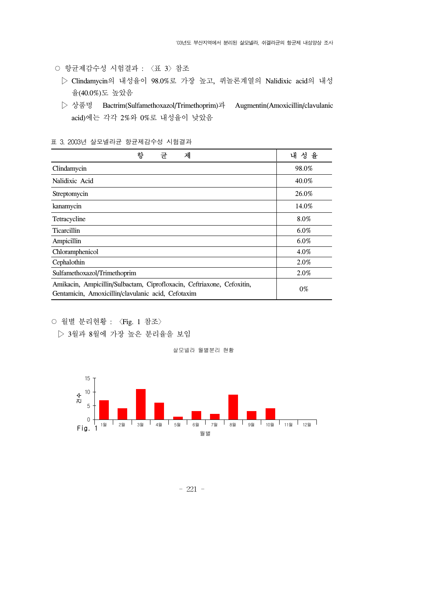- 항균제감수성 시험결과 : 〈표 3〉참조
	- ▷ Clindamycin의 내성율이 98.0%로 가장 높고, 퀴놀론계열의 Nalidixic acid의 내성 율(40.0%)도 높았음
	- ▷ 상품명 Bactrim(Sulfamethoxazol/Trimethoprim)과 Augmentin(Amoxicillin/clavulanic acid)에는 각각 2%와 0%로 내성율이 낮았음

#### 표 3. 2003년 살모넬라균 항균제감수성 시험결과

| 항<br>제<br>규                                                                                                                  | 을       |
|------------------------------------------------------------------------------------------------------------------------------|---------|
| Clindamycin                                                                                                                  | 98.0%   |
| Nalidixic Acid                                                                                                               | 40.0%   |
| Streptomycin                                                                                                                 | 26.0%   |
| kanamycin                                                                                                                    | 14.0%   |
| Tetracycline                                                                                                                 | 8.0%    |
| <b>Ticarcillin</b>                                                                                                           | $6.0\%$ |
| Ampicillin                                                                                                                   | $6.0\%$ |
| Chloramphenicol                                                                                                              | 4.0%    |
| Cephalothin                                                                                                                  | 2.0%    |
| Sulfamethoxazol/Trimethoprim                                                                                                 | 2.0%    |
| Amikacin, Ampicillin/Sulbactam, Ciprofloxacin, Ceftriaxone, Cefoxitin,<br>Gentamicin, Amoxicillin/clavulanic acid, Cefotaxim | $0\%$   |

○ 월별 분리현황 : 〈Fig. 1 참조〉

▷ 3월과 8월에 가장 높은 분리율을 보임

살모넬라 월별분리 현황



- 221 -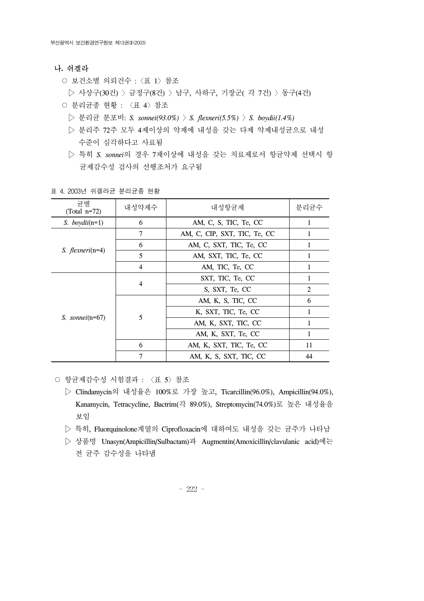### 나**.** 쉬겔라

- 보건소별 의뢰건수 :〈표 1〉참조
- ▷ 사상구(30건) 〉금정구(8건) 〉남구, 사하구, 기장군( 각 7건) 〉동구(4건)
- 분리균종 현황 : 〈표 4〉참조
	- ▷ 분리균 분포비: *S. sonnei(93.0%)* 〉*S. flexneri(5.5%)* 〉*S. boydii(1.4%)*
	- ▷ 분리주 72주 모두 4제이상의 약제에 내성을 갖는 다제 약제내성균으로 내성 수준이 심각하다고 사료됨
	- ▷ 특히 *S. sonnei*의 경우 7제이상에 내성을 갖는 치료제로서 항균약제 선택시 항 균제감수성 검사의 선행조처가 요구됨

| 규별<br>(Total $n=72$ )    | 내성약제수                             | 내성항규제                   | 분리균수 |
|--------------------------|-----------------------------------|-------------------------|------|
| S. boydii( $n=1$ )       | 6<br>AM, C, S, TIC, Te, CC        |                         |      |
| S. <i>flexneri</i> (n=4) | 7<br>AM, C, CIP, SXT, TIC, Te, CC |                         |      |
|                          | 6                                 | AM, C, SXT, TIC, Te, CC |      |
|                          | 5                                 | AM, SXT, TIC, Te, CC    |      |
|                          | $\overline{4}$                    | AM, TIC, Te, CC         |      |
|                          | $\overline{4}$                    | SXT, TIC, Te, CC        |      |
|                          |                                   | S, SXT, Te, CC          | 2    |
|                          | 5                                 | AM, K, S, TIC, CC       | 6    |
|                          |                                   | K, SXT, TIC, Te, CC     | 1    |
| S. sonnei $(n=67)$       |                                   | AM, K, SXT, TIC, CC     |      |
|                          |                                   | AM, K, SXT, Te, CC      | 1    |
|                          | 6                                 | AM, K, SXT, TIC, Te, CC |      |
|                          | 7                                 | AM, K, S, SXT, TIC, CC  | 44   |

표 4. 2003년 쉬겔라균 분리균종 현황

○ 항균제감수성 시험결과 : 〈표 5〉참조

- ▷ Clindamycin의 내성율은 100%로 가장 높고, Ticarcillin(96.0%), Ampicillin(94.0%), Kanamycin, Tetracycline, Bactrim(각 89.0%), Streptomycin(74.0%)로 높은 내성율을 보임
- ▷ 특히, Fluorquinolone계열의 Ciprofloxacin에 대하여도 내성을 갖는 균주가 나타남
- ▷ 상품명 Unasyn(Ampicillin/Sulbactam)과 Augmentin(Amoxicillin/clavulanic acid)에는 전 균주 감수성을 나타냄